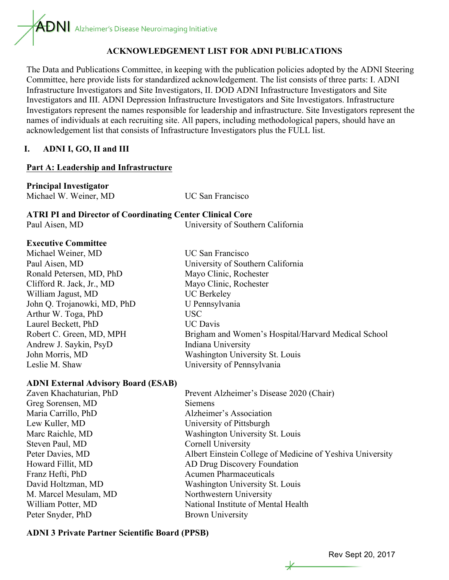$\mathop{\hbox{\rm ADN}}\nolimits$  Alzheimer's Disease Neuroimaging Initiative

# **ACKNOWLEDGEMENT LIST FOR ADNI PUBLICATIONS**

The Data and Publications Committee, in keeping with the publication policies adopted by the ADNI Steering Committee, here provide lists for standardized acknowledgement. The list consists of three parts: I. ADNI Infrastructure Investigators and Site Investigators, II. DOD ADNI Infrastructure Investigators and Site Investigators and III. ADNI Depression Infrastructure Investigators and Site Investigators. Infrastructure Investigators represent the names responsible for leadership and infrastructure. Site Investigators represent the names of individuals at each recruiting site. All papers, including methodological papers, should have an acknowledgement list that consists of Infrastructure Investigators plus the FULL list.

# **I. ADNI I, GO, II and III**

# **Part A: Leadership and Infrastructure**

# **Principal Investigator**

Michael W. Weiner, MD UC San Francisco

# **ATRI PI and Director of Coordinating Center Clinical Core**

Paul Aisen, MD University of Southern California

# **Executive Committee**

Michael Weiner, MD UC San Francisco Ronald Petersen, MD, PhD Mayo Clinic, Rochester Clifford R. Jack, Jr., MD Mayo Clinic, Rochester William Jagust, MD UC Berkeley John Q. Trojanowki, MD, PhD U Pennsylvania Arthur W. Toga, PhD USC Laurel Beckett, PhD UC Davis Andrew J. Saykin, PsyD Indiana University Leslie M. Shaw University of Pennsylvania

# **ADNI External Advisory Board (ESAB)**

Greg Sorensen, MD Siemens Maria Carrillo, PhD Alzheimer's Association Lew Kuller, MD University of Pittsburgh Steven Paul, MD Cornell University Franz Hefti, PhD Acumen Pharmaceuticals M. Marcel Mesulam, MD Northwestern University Peter Snyder, PhD Brown University

Paul Aisen, MD University of Southern California Robert C. Green, MD, MPH Brigham and Women's Hospital/Harvard Medical School John Morris, MD Washington University St. Louis

Zaven Khachaturian, PhD Prevent Alzheimer's Disease 2020 (Chair) Marc Raichle, MD Washington University St. Louis Peter Davies, MD Albert Einstein College of Medicine of Yeshiva University Howard Fillit, MD AD Drug Discovery Foundation David Holtzman, MD Washington University St. Louis William Potter, MD National Institute of Mental Health

# **ADNI 3 Private Partner Scientific Board (PPSB)**

Rev Sept 20, 2017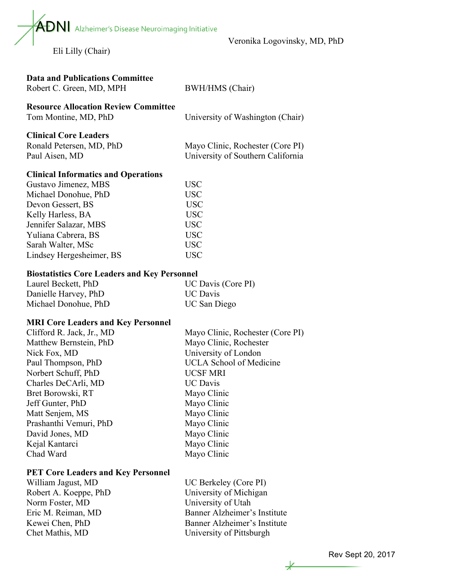

Eli Lilly (Chair)

# **Data and Publications Committee**

| Robert C. Green, MD, MPH                                                   | <b>BWH/HMS</b> (Chair)                                                |
|----------------------------------------------------------------------------|-----------------------------------------------------------------------|
| <b>Resource Allocation Review Committee</b><br>Tom Montine, MD, PhD        | University of Washington (Chair)                                      |
| <b>Clinical Core Leaders</b><br>Ronald Petersen, MD, PhD<br>Paul Aisen, MD | Mayo Clinic, Rochester (Core PI)<br>University of Southern California |

# **Clinical Informatics and Operations**

| Gustavo Jimenez, MBS     | <b>USC</b> |
|--------------------------|------------|
| Michael Donohue, PhD     | <b>USC</b> |
| Devon Gessert, BS        | <b>USC</b> |
| Kelly Harless, BA        | <b>USC</b> |
| Jennifer Salazar, MBS    | <b>USC</b> |
| Yuliana Cabrera, BS      | <b>USC</b> |
| Sarah Walter, MSc        | <b>USC</b> |
| Lindsey Hergesheimer, BS | <b>USC</b> |

#### **Biostatistics Core Leaders and Key Personnel**

| Laurel Beckett, PhD  | UC Davis (Core PI) |
|----------------------|--------------------|
| Danielle Harvey, PhD | <b>UC</b> Davis    |
| Michael Donohue, PhD | UC San Diego       |

#### **MRI Core Leaders and Key Personnel**

Matthew Bernstein, PhD Mayo Clinic, Rochester Nick Fox, MD University of London Norbert Schuff, PhD UCSF MRI Charles DeCArli, MD UC Davis Bret Borowski, RT Mayo Clinic Jeff Gunter, PhD Mayo Clinic Matt Senjem, MS Mayo Clinic Prashanthi Vemuri, PhD Mayo Clinic David Jones, MD Mayo Clinic Kejal Kantarci Mayo Clinic Chad Ward Mayo Clinic

Clifford R. Jack, Jr., MD Mayo Clinic, Rochester (Core PI) Paul Thompson, PhD UCLA School of Medicine

# **PET Core Leaders and Key Personnel**

William Jagust, MD UC Berkeley (Core PI) Robert A. Koeppe, PhD University of Michigan Norm Foster, MD University of Utah Chet Mathis, MD University of Pittsburgh

Eric M. Reiman, MD Banner Alzheimer's Institute Kewei Chen, PhD Banner Alzheimer's Institute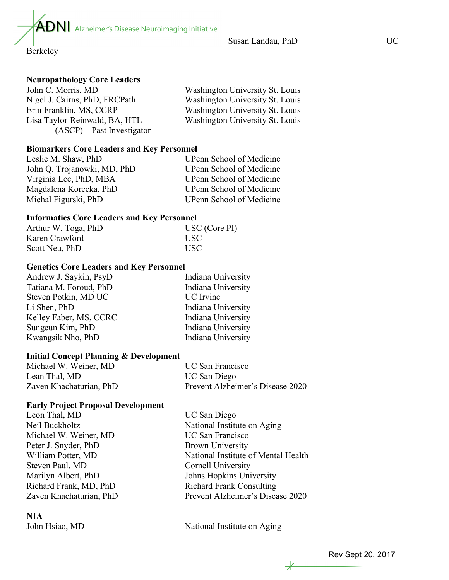Berkeley

# **Neuropathology Core Leaders**

John C. Morris, MD<br>
Washington University St. Louis<br>
Nigel J. Cairns, PhD, FRCPath<br>
Washington University St. Louis Nigel J. Cairns, PhD, FRCPath Washington University St. Louis<br>
Erin Franklin, MS, CCRP Washington University St. Louis Lisa Taylor-Reinwald, BA, HTL (ASCP) – Past Investigator

Washington University St. Louis<br>Washington University St. Louis

# **Biomarkers Core Leaders and Key Personnel**

John Q. Trojanowki, MD, PhD UPenn School of Medicine Virginia Lee, PhD, MBA UPenn School of Medicine Magdalena Korecka, PhD UPenn School of Medicine Michal Figurski, PhD UPenn School of Medicine

Leslie M. Shaw, PhD UPenn School of Medicine

# **Informatics Core Leaders and Key Personnel**

| Arthur W. Toga, PhD | USC (Core PI) |
|---------------------|---------------|
| Karen Crawford      | -USC          |
| Scott Neu, PhD      | <b>USC</b>    |

#### **Genetics Core Leaders and Key Personnel**

| Andrew J. Saykin, PsyD | Indiana University |
|------------------------|--------------------|
| Tatiana M. Foroud, PhD | Indiana University |
| Steven Potkin, MD UC   | UC Irvine          |
| Li Shen, PhD           | Indiana University |
| Kelley Faber, MS, CCRC | Indiana University |
| Sungeun Kim, PhD       | Indiana University |
| Kwangsik Nho, PhD      | Indiana University |
|                        |                    |

#### **Initial Concept Planning & Development**

Michael W. Weiner, MD UC San Francisco Lean Thal, MD UC San Diego Zaven Khachaturian, PhD Prevent Alzheimer's Disease 2020

#### **Early Project Proposal Development**

Leon Thal, MD UC San Diego Neil Buckholtz National Institute on Aging Michael W. Weiner, MD UC San Francisco Peter J. Snyder, PhD Brown University Steven Paul, MD Cornell University Marilyn Albert, PhD<br>
Richard Frank, MD, PhD<br>
Richard Frank Consulting Richard Frank, MD, PhD

# **NIA**

William Potter, MD National Institute of Mental Health Zaven Khachaturian, PhD Prevent Alzheimer's Disease 2020

John Hsiao, MD National Institute on Aging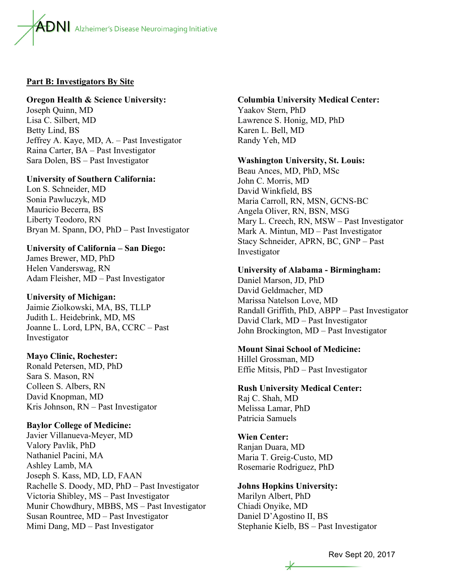$\textcolor{blue}{\mathbf{DM}}$  Alzheimer's Disease Neuroimaging Initiative

# **Part B: Investigators By Site**

#### **Oregon Health & Science University:**

Joseph Quinn, MD Lisa C. Silbert, MD Betty Lind, BS Jeffrey A. Kaye, MD, A. – Past Investigator Raina Carter, BA – Past Investigator Sara Dolen, BS – Past Investigator

# **University of Southern California:**

Lon S. Schneider, MD Sonia Pawluczyk, MD Mauricio Becerra, BS Liberty Teodoro, RN Bryan M. Spann, DO, PhD – Past Investigator

#### **University of California – San Diego:**

James Brewer, MD, PhD Helen Vanderswag, RN Adam Fleisher, MD – Past Investigator

# **University of Michigan:**

Jaimie Ziolkowski, MA, BS, TLLP Judith L. Heidebrink, MD, MS Joanne L. Lord, LPN, BA, CCRC – Past Investigator

# **Mayo Clinic, Rochester:**

Ronald Petersen, MD, PhD Sara S. Mason, RN Colleen S. Albers, RN David Knopman, MD Kris Johnson, RN – Past Investigator

# **Baylor College of Medicine:**

Javier Villanueva-Meyer, MD Valory Pavlik, PhD Nathaniel Pacini, MA Ashley Lamb, MA Joseph S. Kass, MD, LD, FAAN Rachelle S. Doody, MD, PhD – Past Investigator Victoria Shibley, MS – Past Investigator Munir Chowdhury, MBBS, MS – Past Investigator Susan Rountree, MD – Past Investigator Mimi Dang, MD – Past Investigator

# **Columbia University Medical Center:**

Yaakov Stern, PhD Lawrence S. Honig, MD, PhD Karen L. Bell, MD Randy Yeh, MD

#### **Washington University, St. Louis:**

Beau Ances, MD, PhD, MSc John C. Morris, MD David Winkfield, BS Maria Carroll, RN, MSN, GCNS-BC Angela Oliver, RN, BSN, MSG Mary L. Creech, RN, MSW – Past Investigator Mark A. Mintun, MD – Past Investigator Stacy Schneider, APRN, BC, GNP – Past Investigator

#### **University of Alabama - Birmingham:**

Daniel Marson, JD, PhD David Geldmacher, MD Marissa Natelson Love, MD Randall Griffith, PhD, ABPP – Past Investigator David Clark, MD – Past Investigator John Brockington, MD – Past Investigator

#### **Mount Sinai School of Medicine:**

Hillel Grossman, MD Effie Mitsis, PhD – Past Investigator

# **Rush University Medical Center:**  Raj C. Shah, MD

Melissa Lamar, PhD Patricia Samuels

# **Wien Center:** Ranjan Duara, MD

Maria T. Greig-Custo, MD Rosemarie Rodriguez, PhD

# **Johns Hopkins University:**

Marilyn Albert, PhD Chiadi Onyike, MD Daniel D'Agostino II, BS Stephanie Kielb, BS – Past Investigator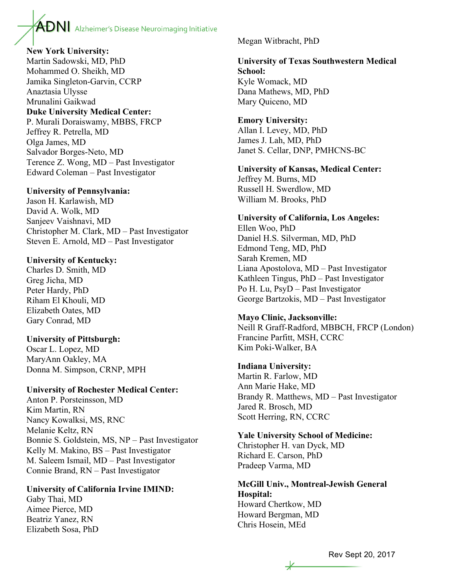# $\overline{ADN}$  Alzheimer's Disease Neuroimaging Initiative

**New York University:**

Martin Sadowski, MD, PhD Mohammed O. Sheikh, MD Jamika Singleton-Garvin, CCRP Anaztasia Ulysse Mrunalini Gaikwad

# **Duke University Medical Center:**

P. Murali Doraiswamy, MBBS, FRCP Jeffrey R. Petrella, MD Olga James, MD Salvador Borges-Neto, MD Terence Z. Wong, MD – Past Investigator Edward Coleman – Past Investigator

# **University of Pennsylvania:**

Jason H. Karlawish, MD David A. Wolk, MD Sanjeev Vaishnavi, MD Christopher M. Clark, MD – Past Investigator Steven E. Arnold, MD – Past Investigator

# **University of Kentucky:**

Charles D. Smith, MD Greg Jicha, MD Peter Hardy, PhD Riham El Khouli, MD Elizabeth Oates, MD Gary Conrad, MD

# **University of Pittsburgh:**

Oscar L. Lopez, MD MaryAnn Oakley, MA Donna M. Simpson, CRNP, MPH

# **University of Rochester Medical Center:**

Anton P. Porsteinsson, MD Kim Martin, RN Nancy Kowalksi, MS, RNC Melanie Keltz, RN Bonnie S. Goldstein, MS, NP – Past Investigator Kelly M. Makino, BS – Past Investigator M. Saleem Ismail, MD – Past Investigator Connie Brand, RN – Past Investigator

# **University of California Irvine IMIND:**

Gaby Thai, MD Aimee Pierce, MD Beatriz Yanez, RN Elizabeth Sosa, PhD Megan Witbracht, PhD

**University of Texas Southwestern Medical School:** Kyle Womack, MD Dana Mathews, MD, PhD Mary Quiceno, MD

## **Emory University:** Allan I. Levey, MD, PhD James J. Lah, MD, PhD Janet S. Cellar, DNP, PMHCNS-BC

**University of Kansas, Medical Center:** Jeffrey M. Burns, MD Russell H. Swerdlow, MD William M. Brooks, PhD

# **University of California, Los Angeles:** Ellen Woo, PhD

Daniel H.S. Silverman, MD, PhD Edmond Teng, MD, PhD Sarah Kremen, MD Liana Apostolova, MD – Past Investigator Kathleen Tingus, PhD – Past Investigator Po H. Lu, PsyD – Past Investigator George Bartzokis, MD – Past Investigator

# **Mayo Clinic, Jacksonville:**

Neill R Graff-Radford, MBBCH, FRCP (London) Francine Parfitt, MSH, CCRC Kim Poki-Walker, BA

# **Indiana University:**

Martin R. Farlow, MD Ann Marie Hake, MD Brandy R. Matthews, MD – Past Investigator Jared R. Brosch, MD Scott Herring, RN, CCRC

# **Yale University School of Medicine:**

Christopher H. van Dyck, MD Richard E. Carson, PhD Pradeep Varma, MD

# **McGill Univ., Montreal-Jewish General Hospital:**  Howard Chertkow, MD Howard Bergman, MD Chris Hosein, MEd

Rev Sept 20, 2017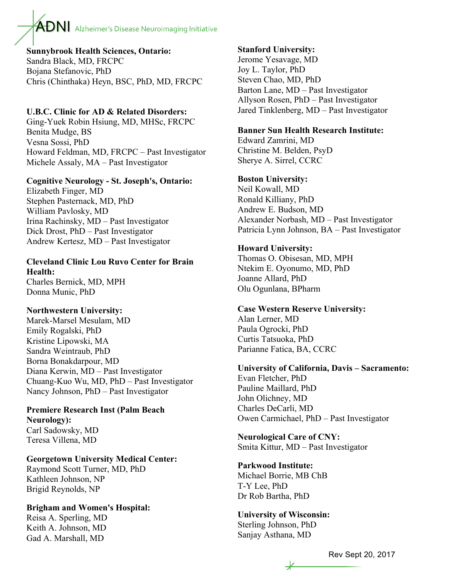# $\overline{ADN}$  Alzheimer's Disease Neuroimaging Initiative

# **Sunnybrook Health Sciences, Ontario:**

Sandra Black, MD, FRCPC Bojana Stefanovic, PhD Chris (Chinthaka) Heyn, BSC, PhD, MD, FRCPC

# **U.B.C. Clinic for AD & Related Disorders:**

Ging-Yuek Robin Hsiung, MD, MHSc, FRCPC Benita Mudge, BS Vesna Sossi, PhD Howard Feldman, MD, FRCPC – Past Investigator Michele Assaly, MA – Past Investigator

# **Cognitive Neurology - St. Joseph's, Ontario:**

Elizabeth Finger, MD Stephen Pasternack, MD, PhD William Pavlosky, MD Irina Rachinsky, MD – Past Investigator Dick Drost, PhD – Past Investigator Andrew Kertesz, MD – Past Investigator

# **Cleveland Clinic Lou Ruvo Center for Brain Health:**

Charles Bernick, MD, MPH Donna Munic, PhD

# **Northwestern University:**

Marek-Marsel Mesulam, MD Emily Rogalski, PhD Kristine Lipowski, MA Sandra Weintraub, PhD Borna Bonakdarpour, MD Diana Kerwin, MD – Past Investigator Chuang-Kuo Wu, MD, PhD – Past Investigator Nancy Johnson, PhD – Past Investigator

# **Premiere Research Inst (Palm Beach Neurology):** Carl Sadowsky, MD Teresa Villena, MD

# **Georgetown University Medical Center:**

Raymond Scott Turner, MD, PhD Kathleen Johnson, NP Brigid Reynolds, NP

# **Brigham and Women's Hospital:**

Reisa A. Sperling, MD Keith A. Johnson, MD Gad A. Marshall, MD

# **Stanford University:**

Jerome Yesavage, MD Joy L. Taylor, PhD Steven Chao, MD, PhD Barton Lane, MD – Past Investigator Allyson Rosen, PhD – Past Investigator Jared Tinklenberg, MD – Past Investigator

# **Banner Sun Health Research Institute:**

Edward Zamrini, MD Christine M. Belden, PsyD Sherye A. Sirrel, CCRC

# **Boston University:**

Neil Kowall, MD Ronald Killiany, PhD Andrew E. Budson, MD Alexander Norbash, MD – Past Investigator Patricia Lynn Johnson, BA – Past Investigator

# **Howard University:**

Thomas O. Obisesan, MD, MPH Ntekim E. Oyonumo, MD, PhD Joanne Allard, PhD Olu Ogunlana, BPharm

# **Case Western Reserve University:**

Alan Lerner, MD Paula Ogrocki, PhD Curtis Tatsuoka, PhD Parianne Fatica, BA, CCRC

# **University of California, Davis – Sacramento:**

Evan Fletcher, PhD Pauline Maillard, PhD John Olichney, MD Charles DeCarli, MD Owen Carmichael, PhD – Past Investigator

#### **Neurological Care of CNY:** Smita Kittur, MD – Past Investigator

# **Parkwood Institute:**

Michael Borrie, MB ChB T-Y Lee, PhD Dr Rob Bartha, PhD

# **University of Wisconsin:** Sterling Johnson, PhD Sanjay Asthana, MD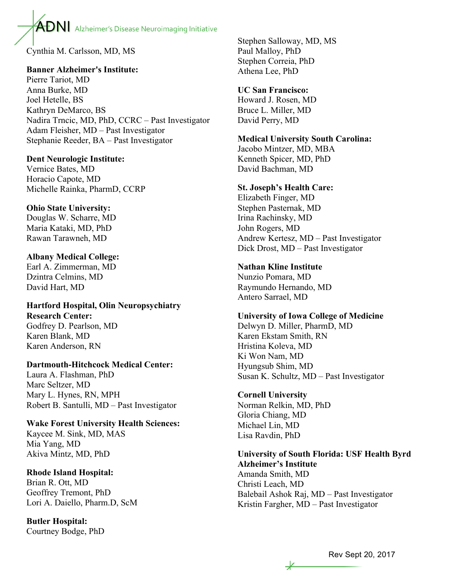$\mathbf{ADN}$  Alzheimer's Disease Neuroimaging Initiative

Cynthia M. Carlsson, MD, MS

# **Banner Alzheimer's Institute:**

Pierre Tariot, MD Anna Burke, MD Joel Hetelle, BS Kathryn DeMarco, BS Nadira Trncic, MD, PhD, CCRC – Past Investigator Adam Fleisher, MD – Past Investigator Stephanie Reeder, BA – Past Investigator

#### **Dent Neurologic Institute:**

Vernice Bates, MD Horacio Capote, MD Michelle Rainka, PharmD, CCRP

# **Ohio State University:**

Douglas W. Scharre, MD Maria Kataki, MD, PhD Rawan Tarawneh, MD

# **Albany Medical College:**

Earl A. Zimmerman, MD Dzintra Celmins, MD David Hart, MD

# **Hartford Hospital, Olin Neuropsychiatry Research Center:** Godfrey D. Pearlson, MD

Karen Blank, MD Karen Anderson, RN

# **Dartmouth-Hitchcock Medical Center:**

Laura A. Flashman, PhD Marc Seltzer, MD Mary L. Hynes, RN, MPH Robert B. Santulli, MD – Past Investigator

# **Wake Forest University Health Sciences:**

Kaycee M. Sink, MD, MAS Mia Yang, MD Akiva Mintz, MD, PhD

# **Rhode Island Hospital:**

Brian R. Ott, MD Geoffrey Tremont, PhD Lori A. Daiello, Pharm.D, ScM

**Butler Hospital:** Courtney Bodge, PhD Stephen Salloway, MD, MS Paul Malloy, PhD Stephen Correia, PhD Athena Lee, PhD

# **UC San Francisco:**

Howard J. Rosen, MD Bruce L. Miller, MD David Perry, MD

#### **Medical University South Carolina:**

Jacobo Mintzer, MD, MBA Kenneth Spicer, MD, PhD David Bachman, MD

#### **St. Joseph's Health Care:**

Elizabeth Finger, MD Stephen Pasternak, MD Irina Rachinsky, MD John Rogers, MD Andrew Kertesz, MD – Past Investigator Dick Drost, MD – Past Investigator

# **Nathan Kline Institute**

Nunzio Pomara, MD Raymundo Hernando, MD Antero Sarrael, MD

## **University of Iowa College of Medicine**

Delwyn D. Miller, PharmD, MD Karen Ekstam Smith, RN Hristina Koleva, MD Ki Won Nam, MD Hyungsub Shim, MD Susan K. Schultz, MD – Past Investigator

# **Cornell University**

Norman Relkin, MD, PhD Gloria Chiang, MD Michael Lin, MD Lisa Ravdin, PhD

# **University of South Florida: USF Health Byrd Alzheimer's Institute** Amanda Smith, MD Christi Leach, MD Balebail Ashok Raj, MD – Past Investigator Kristin Fargher, MD – Past Investigator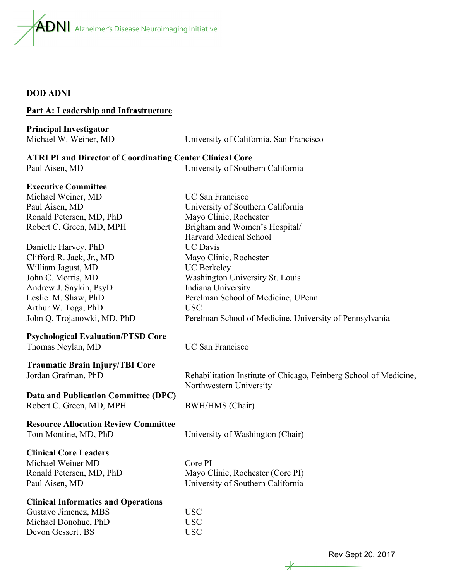

# **DOD ADNI**

# **Part A: Leadership and Infrastructure**

**Principal Investigator**

Michael W. Weiner, MD University of California, San Francisco

**ATRI PI and Director of Coordinating Center Clinical Core** Paul Aisen, MD University of Southern California

#### **Executive Committee**

Michael Weiner, MD UC San Francisco Ronald Petersen, MD, PhD Mayo Clinic, Rochester

Danielle Harvey, PhD UC Davis Clifford R. Jack, Jr., MD Mayo Clinic, Rochester William Jagust, MD UC Berkeley Andrew J. Saykin, PsyD Indiana University Arthur W. Toga, PhD USC

#### **Psychological Evaluation/PTSD Core**

Thomas Neylan, MD UC San Francisco

# **Traumatic Brain Injury/TBI Core**

**Data and Publication Committee (DPC)** Robert C. Green, MD, MPH BWH/HMS (Chair)

**Resource Allocation Review Committee** Tom Montine, MD, PhD University of Washington (Chair)

# **Clinical Core Leaders**

Michael Weiner MD Core PI

#### **Clinical Informatics and Operations**

Gustavo Jimenez, MBS USC Michael Donohue, PhD USC Devon Gessert, BS USC

Paul Aisen, MD University of Southern California Robert C. Green, MD, MPH Brigham and Women's Hospital/ Harvard Medical School John C. Morris, MD Washington University St. Louis Leslie M. Shaw, PhD Perelman School of Medicine, UPenn John Q. Trojanowki, MD, PhD Perelman School of Medicine, University of Pennsylvania

Jordan Grafman, PhD Rehabilitation Institute of Chicago, Feinberg School of Medicine, Northwestern University

Ronald Petersen, MD, PhD Mayo Clinic, Rochester (Core PI) Paul Aisen, MD University of Southern California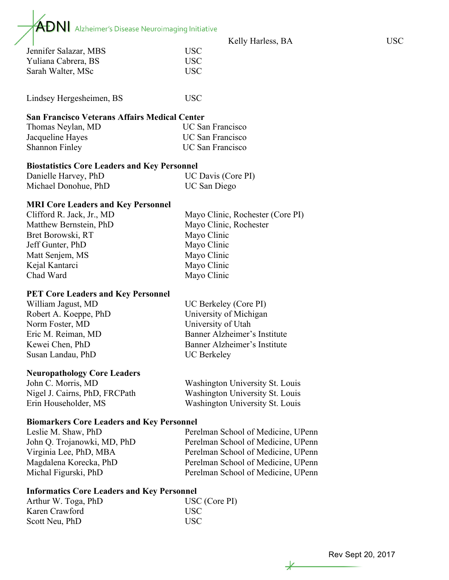| Jennifer Salazar, MBS | <b>USC</b> |
|-----------------------|------------|
| Yuliana Cabrera, BS   | <b>USC</b> |
| Sarah Walter, MSc     | <b>USC</b> |
|                       |            |

Lindsey Hergesheimen, BS USC

## **San Francisco Veterans Affairs Medical Center**

| Thomas Neylan, MD     | <b>UC San Francisco</b> |
|-----------------------|-------------------------|
| Jacqueline Hayes      | <b>UC San Francisco</b> |
| <b>Shannon Finley</b> | <b>UC San Francisco</b> |

# **Biostatistics Core Leaders and Key Personnel**

| Danielle Harvey, PhD | UC Davis (Core PI) |
|----------------------|--------------------|
| Michael Donohue, PhD | UC San Diego       |

#### **MRI Core Leaders and Key Personnel**

| Clifford R. Jack, Jr., MD | Mayo Clinic, Rochester (Core PI) |
|---------------------------|----------------------------------|
| Matthew Bernstein, PhD    | Mayo Clinic, Rochester           |
| Bret Borowski, RT         | Mayo Clinic                      |
| Jeff Gunter, PhD          | Mayo Clinic                      |
| Matt Senjem, MS           | Mayo Clinic                      |
| Kejal Kantarci            | Mayo Clinic                      |
| Chad Ward                 | Mayo Clinic                      |
|                           |                                  |

#### **PET Core Leaders and Key Personnel**

| William Jagust, MD    |
|-----------------------|
| Robert A. Koeppe, PhD |
| Norm Foster, MD       |
| Eric M. Reiman, MD    |
| Kewei Chen, PhD       |
| Susan Landau, PhD     |

# UC Berkeley (Core PI) University of Michigan University of Utah Banner Alzheimer's Institute Banner Alzheimer's Institute UC Berkeley

#### **Neuropathology Core Leaders**

John C. Morris, MD Washington University St. Louis Nigel J. Cairns, PhD, FRCPath Washington University St. Louis Erin Householder, MS Washington University St. Louis

#### **Biomarkers Core Leaders and Key Personnel**

| Leslie M. Shaw, PhD         | Perelman School of Medicine, UPenn |
|-----------------------------|------------------------------------|
| John Q. Trojanowki, MD, PhD | Perelman School of Medicine, UPenn |
| Virginia Lee, PhD, MBA      | Perelman School of Medicine, UPenn |
| Magdalena Korecka, PhD      | Perelman School of Medicine, UPenn |
| Michal Figurski, PhD        | Perelman School of Medicine, UPenn |
|                             |                                    |

#### **Informatics Core Leaders and Key Personnel**

| Arthur W. Toga, PhD | USC (Core PI)    |
|---------------------|------------------|
| Karen Crawford      | <b>USC</b>       |
| Scott Neu, PhD      | USC <sup>1</sup> |

# Kelly Harless, BA USC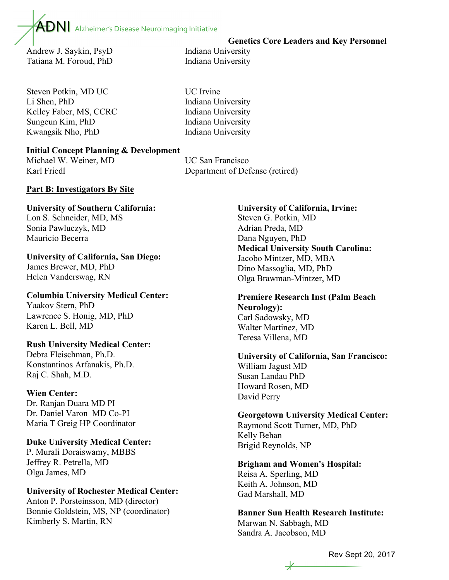Andrew J. Saykin, PsyD Indiana University Tatiana M. Foroud, PhD Indiana University

Steven Potkin, MD UC VC Irvine Li Shen, PhD Indiana University Kelley Faber, MS, CCRC Indiana University Sungeun Kim, PhD Indiana University Kwangsik Nho, PhD Indiana University

**Genetics Core Leaders and Key Personnel**

# **Initial Concept Planning & Development**

Michael W. Weiner, MD UC San Francisco Karl Friedl Department of Defense (retired)

#### **Part B: Investigators By Site**

#### **University of Southern California:**

Lon S. Schneider, MD, MS Sonia Pawluczyk, MD Mauricio Becerra

#### **University of California, San Diego:**

James Brewer, MD, PhD Helen Vanderswag, RN

# **Columbia University Medical Center:**

Yaakov Stern, PhD Lawrence S. Honig, MD, PhD Karen L. Bell, MD

# **Rush University Medical Center:**

Debra Fleischman, Ph.D. Konstantinos Arfanakis, Ph.D. Raj C. Shah, M.D.

# **Wien Center:**

Dr. Ranjan Duara MD PI Dr. Daniel Varon MD Co-PI Maria T Greig HP Coordinator

# **Duke University Medical Center:** P. Murali Doraiswamy, MBBS Jeffrey R. Petrella, MD

Olga James, MD

# **University of Rochester Medical Center:**

Anton P. Porsteinsson, MD (director) Bonnie Goldstein, MS, NP (coordinator) Kimberly S. Martin, RN

# **University of California, Irvine:** Steven G. Potkin, MD Adrian Preda, MD Dana Nguyen, PhD **Medical University South Carolina:** Jacobo Mintzer, MD, MBA Dino Massoglia, MD, PhD Olga Brawman-Mintzer, MD

# **Premiere Research Inst (Palm Beach Neurology):** Carl Sadowsky, MD Walter Martinez, MD Teresa Villena, MD

# **University of California, San Francisco:** William Jagust MD Susan Landau PhD Howard Rosen, MD David Perry

# **Georgetown University Medical Center:** Raymond Scott Turner, MD, PhD Kelly Behan Brigid Reynolds, NP

# **Brigham and Women's Hospital:**

Reisa A. Sperling, MD Keith A. Johnson, MD Gad Marshall, MD

# **Banner Sun Health Research Institute:** Marwan N. Sabbagh, MD Sandra A. Jacobson, MD

Rev Sept 20, 2017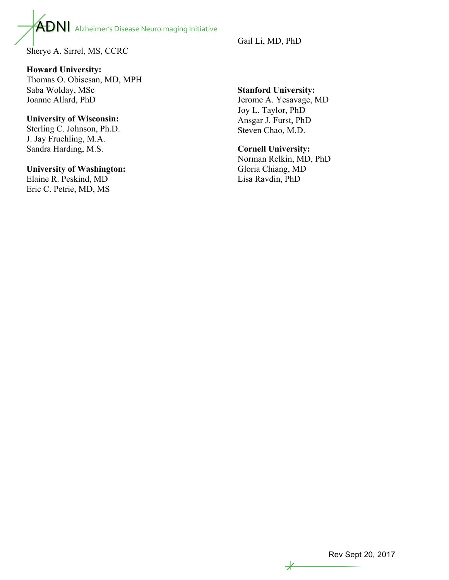$\mathbf{A}\mathbf{D}\mathbf{N}\mathbf{I}$  Alzheimer's Disease Neuroimaging Initiative

Sherye A. Sirrel, MS, CCRC

**Howard University:** Thomas O. Obisesan, MD, MPH Saba Wolday, MSc Joanne Allard, PhD

**University of Wisconsin:** Sterling C. Johnson, Ph.D. J. Jay Fruehling, M.A. Sandra Harding, M.S.

**University of Washington:** Elaine R. Peskind, MD Eric C. Petrie, MD, MS

Gail Li, MD, PhD

**Stanford University:** 

Jerome A. Yesavage, MD Joy L. Taylor, PhD Ansgar J. Furst, PhD Steven Chao, M.D.

**Cornell University:**

Norman Relkin, MD, PhD Gloria Chiang, MD Lisa Ravdin, PhD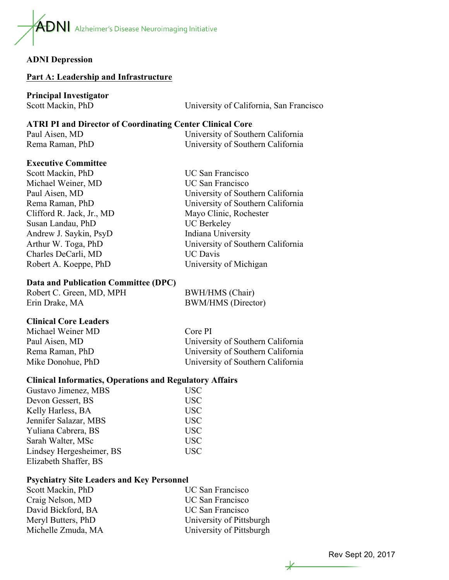

# **ADNI Depression**

#### **Part A: Leadership and Infrastructure**

**Principal Investigator**

Scott Mackin, PhD University of California, San Francisco

#### **ATRI PI and Director of Coordinating Center Clinical Core**

| Paul Aisen, MD  | University of Southern California |
|-----------------|-----------------------------------|
| Rema Raman, PhD | University of Southern California |

#### **Executive Committee**

Scott Mackin, PhD UC San Francisco Michael Weiner, MD UC San Francisco Clifford R. Jack, Jr., MD Mayo Clinic, Rochester Susan Landau, PhD UC Berkeley Andrew J. Saykin, PsyD Indiana University Charles DeCarli, MD UC Davis Robert A. Koeppe, PhD University of Michigan

Paul Aisen, MD University of Southern California Rema Raman, PhD University of Southern California Arthur W. Toga, PhD University of Southern California

#### **Data and Publication Committee (DPC)**

Robert C. Green, MD, MPH BWH/HMS (Chair) Erin Drake, MA BWM/HMS (Director)

#### **Clinical Core Leaders**

Michael Weiner MD Core PI

Paul Aisen, MD University of Southern California Rema Raman, PhD University of Southern California Mike Donohue, PhD University of Southern California

## **Clinical Informatics, Operations and Regulatory Affairs**

| Gustavo Jimenez, MBS     | <b>USC</b> |
|--------------------------|------------|
| Devon Gessert, BS        | <b>USC</b> |
| Kelly Harless, BA        | <b>USC</b> |
| Jennifer Salazar, MBS    | <b>USC</b> |
| Yuliana Cabrera, BS      | <b>USC</b> |
| Sarah Walter, MSc        | <b>USC</b> |
| Lindsey Hergesheimer, BS | <b>USC</b> |
| Elizabeth Shaffer, BS    |            |

#### **Psychiatry Site Leaders and Key Personnel**

| UC San Francisco         |
|--------------------------|
| <b>UC San Francisco</b>  |
| <b>UC San Francisco</b>  |
| University of Pittsburgh |
| University of Pittsburgh |
|                          |